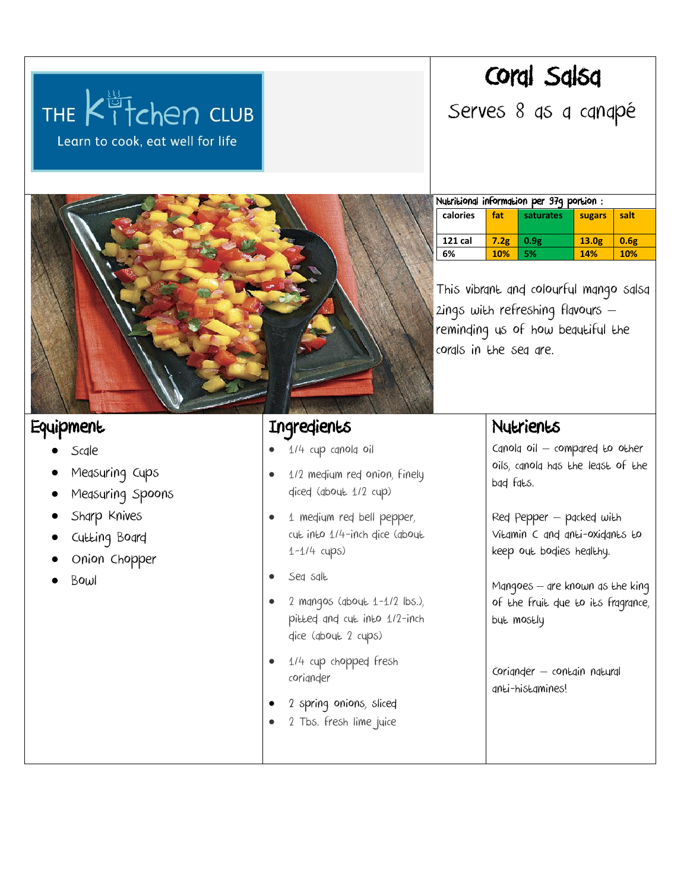# Coral Salsa

Serves 8 as a canapé

**Equipment** 

- Scale
- Measuring Cups
- Measuring Spoons

THE Kitchen CLUB

Learn to cook, eat well for life

- Sharp Knives
- Cutting Board
- Onion Chopper
- Bowl

## **Ingredients**

- 1/4 cup canola oil
- 1/2 medium red onion, finely diced (about 1/2 cup)
- 1 medium red bell pepper, cut into 1/4-inch dice (about 1-1/4 cups)
- Sea salt
- 2 mangos (about 1-1/2 lbs.), pitted and cut into 1/2-inch dice (about 2 cups)
- 1/4 cup chopped fresh coriander
- 2 spring [onions,](http://www.food.com/library/green-onion-363) sliced
- 2 Tbs. fresh lime juice

| Nutritional information per 97q portion: |      |           |                   |      |  |
|------------------------------------------|------|-----------|-------------------|------|--|
| calories                                 | fat  | saturates | sugars            | salt |  |
| <b>121 cal</b>                           | 7.2g | 0.9g      | 13.0 <sub>g</sub> | 0.6g |  |
| 6%                                       | 10%  | 5%        | 14%               | 10%  |  |

This vibrant and colourful mango salsa zings with refreshing flavours – reminding us of how beautiful the corals in the sea are.

### Nutrients

Canola oil – compared to other oils, canola has the least of the bad fats.

Red Pepper – packed with Vitamin C and anti-oxidants to keep out bodies healthy.

Mangoes – are known as the king of the fruit due to its fragrance, but mostly

Coriander – contain natural anti-histamines!